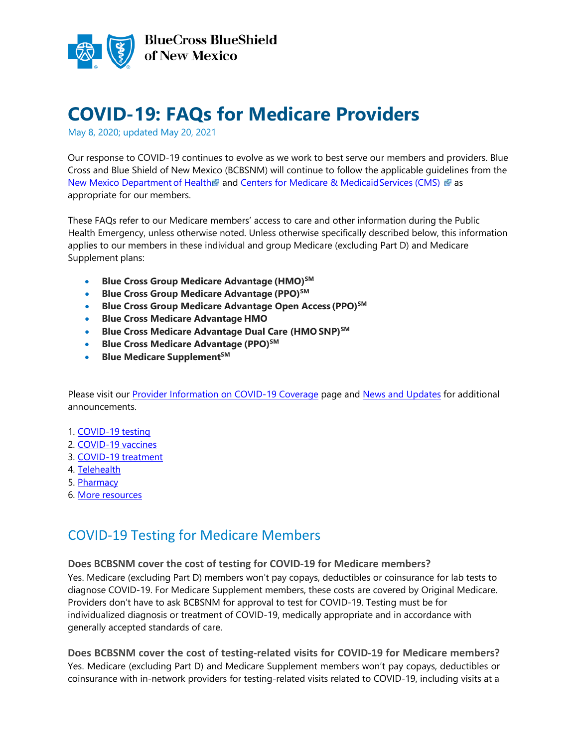

# **COVID-19: FAQs for Medicare Providers**

May 8, 2020; updated May 20, 2021

Our response to COVID-19 continues to evolve as we work to best serve our members and providers. Blue Cross and Blue Shield of New Mexico (BCBSNM) will continue to follow the applicable guidelines from the [New Mexico Department](https://nmhealth.org/) of Health and [Centers for Medicare & MedicaidServices](https://www.cms.gov/About-CMS/Agency-Information/Emergency/EPRO/Current-Emergencies/Current-Emergencies-page) (CMS) as appropriate for our members.

These FAQs refer to our Medicare members' access to care and other information during the Public Health Emergency, unless otherwise noted. Unless otherwise specifically described below, this information applies to our members in these individual and group Medicare (excluding Part D) and Medicare Supplement plans:

- Blue Cross Group Medicare Advantage (HMO)<sup>SM</sup>
- **Blue Cross Group Medicare Advantage (PPO)SM**
- **Blue Cross Group Medicare Advantage Open Access (PPO)SM**
- **Blue Cross Medicare Advantage HMO**
- **Blue Cross Medicare Advantage Dual Care (HMO SNP)SM**
- **Blue Cross Medicare Advantage (PPO)SM**
- **Blue Medicare SupplementSM**

Please visit our **Provider Information on COVID-19 Coverage** page and **News and Updates** for additional announcements.

- 1. [COVID-19](#page-0-0) testing
- 2. [COVID-19 vaccines](#page-3-0)
- 3. [COVID-19](#page-3-0) treatment
- 4. [Telehealth](#page-5-0)
- 5. [Pharmacy](#page-6-0)
- 6. More resources

### <span id="page-0-0"></span>COVID-19 Testing for Medicare Members

#### **Does BCBSNM cover the cost of testing for COVID-19 for Medicare members?**

Yes. Medicare (excluding Part D) members won't pay copays, deductibles or coinsurance for lab tests to diagnose COVID-19. For Medicare Supplement members, these costs are covered by Original Medicare. Providers don't have to ask BCBSNM for approval to test for COVID-19. Testing must be for individualized diagnosis or treatment of COVID-19, medically appropriate and in accordance with generally accepted standards of care.

**Does BCBSNM cover the cost of testing-related visits for COVID-19 for Medicare members?**  Yes. Medicare (excluding Part D) and Medicare Supplement members won't pay copays, deductibles or coinsurance with in-network providers for testing-related visits related to COVID-19, including visits at a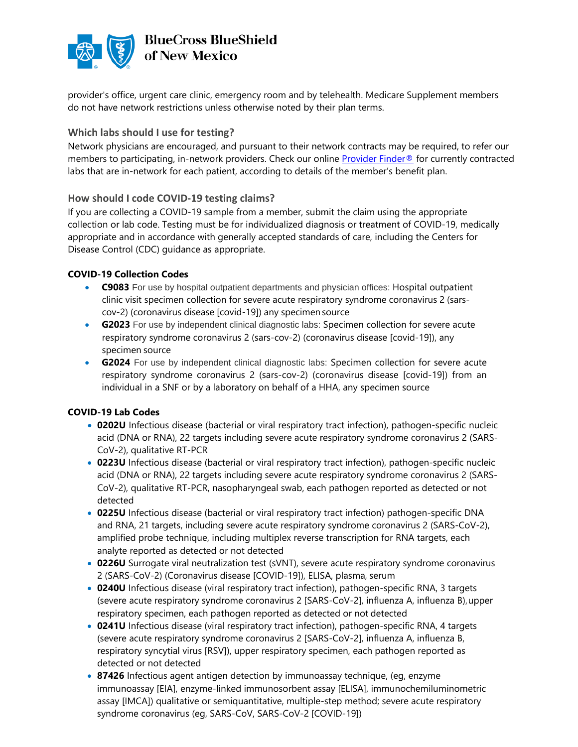

provider's office, urgent care clinic, emergency room and by telehealth. Medicare Supplement members do not have network restrictions unless otherwise noted by their plan terms.

#### **Which labs should I use for testing?**

Network physicians are encouraged, and pursuant to their network contracts may be required, to refer our members to participating, in-network providers. Check our online [Provider Finder®](https://www.bcbsnm.com/find-a-doctor-or-hospital) for currently contracted labs that are in-network for each patient, according to details of the member's benefit plan.

#### **How should I code COVID-19 testing claims?**

If you are collecting a COVID-19 sample from a member, submit the claim using the appropriate collection or lab code. Testing must be for individualized diagnosis or treatment of COVID-19, medically appropriate and in accordance with generally accepted standards of care, including the Centers for Disease Control (CDC) guidance as appropriate.

#### **COVID-19 Collection Codes**

- **C9083** For use by hospital outpatient departments and physician offices: Hospital outpatient clinic visit specimen collection for severe acute respiratory syndrome coronavirus 2 (sarscov-2) (coronavirus disease [covid-19]) any specimen source
- **G2023** For use by independent clinical diagnostic labs: Specimen collection for severe acute respiratory syndrome coronavirus 2 (sars-cov-2) (coronavirus disease [covid-19]), any specimen source
- **G2024** For use by independent clinical diagnostic labs: Specimen collection for severe acute respiratory syndrome coronavirus 2 (sars-cov-2) (coronavirus disease [covid-19]) from an individual in a SNF or by a laboratory on behalf of a HHA, any specimen source

#### **COVID-19 Lab Codes**

- **0202U** Infectious disease (bacterial or viral respiratory tract infection), pathogen-specific nucleic acid (DNA or RNA), 22 targets including severe acute respiratory syndrome coronavirus 2 (SARS-CoV-2), qualitative RT-PCR
- **0223U** Infectious disease (bacterial or viral respiratory tract infection), pathogen-specific nucleic acid (DNA or RNA), 22 targets including severe acute respiratory syndrome coronavirus 2 (SARS-CoV-2), qualitative RT-PCR, nasopharyngeal swab, each pathogen reported as detected or not detected
- **0225U** Infectious disease (bacterial or viral respiratory tract infection) pathogen-specific DNA and RNA, 21 targets, including severe acute respiratory syndrome coronavirus 2 (SARS-CoV-2), amplified probe technique, including multiplex reverse transcription for RNA targets, each analyte reported as detected or not detected
- **0226U** Surrogate viral neutralization test (sVNT), severe acute respiratory syndrome coronavirus 2 (SARS-CoV-2) (Coronavirus disease [COVID-19]), ELISA, plasma, serum
- **0240U** Infectious disease (viral respiratory tract infection), pathogen-specific RNA, 3 targets (severe acute respiratory syndrome coronavirus 2 [SARS-CoV-2], influenza A, influenza B),upper respiratory specimen, each pathogen reported as detected or not detected
- **0241U** Infectious disease (viral respiratory tract infection), pathogen-specific RNA, 4 targets (severe acute respiratory syndrome coronavirus 2 [SARS-CoV-2], influenza A, influenza B, respiratory syncytial virus [RSV]), upper respiratory specimen, each pathogen reported as detected or not detected
- **87426** Infectious agent antigen detection by immunoassay technique, (eg, enzyme immunoassay [EIA], enzyme-linked immunosorbent assay [ELISA], immunochemiluminometric assay [IMCA]) qualitative or semiquantitative, multiple-step method; severe acute respiratory syndrome coronavirus (eg, SARS-CoV, SARS-CoV-2 [COVID-19])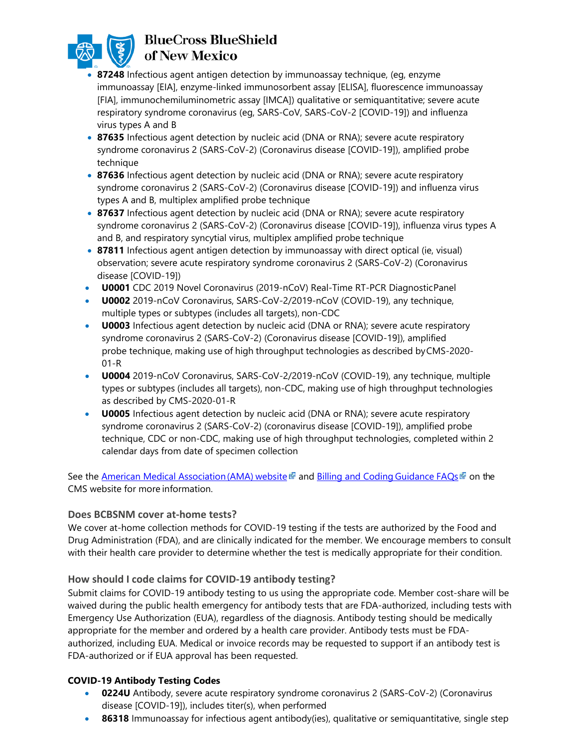

### **BlueCross BlueShield** of New Mexico

- **87248** Infectious agent antigen detection by immunoassay technique, (eg, enzyme immunoassay [EIA], enzyme-linked immunosorbent assay [ELISA], fluorescence immunoassay [FIA], immunochemiluminometric assay [IMCA]) qualitative or semiquantitative; severe acute respiratory syndrome coronavirus (eg, SARS-CoV, SARS-CoV-2 [COVID-19]) and influenza virus types A and B
- **87635** Infectious agent detection by nucleic acid (DNA or RNA); severe acute respiratory syndrome coronavirus 2 (SARS-CoV-2) (Coronavirus disease [COVID-19]), amplified probe technique
- **87636** Infectious agent detection by nucleic acid (DNA or RNA); severe acute respiratory syndrome coronavirus 2 (SARS-CoV-2) (Coronavirus disease [COVID-19]) and influenza virus types A and B, multiplex amplified probe technique
- **87637** Infectious agent detection by nucleic acid (DNA or RNA); severe acute respiratory syndrome coronavirus 2 (SARS-CoV-2) (Coronavirus disease [COVID-19]), influenza virus types A and B, and respiratory syncytial virus, multiplex amplified probe technique
- 87811 Infectious agent antigen detection by immunoassay with direct optical (ie, visual) observation; severe acute respiratory syndrome coronavirus 2 (SARS-CoV-2) (Coronavirus disease [COVID-19])
- **U0001** CDC 2019 Novel Coronavirus (2019-nCoV) Real-Time RT-PCR DiagnosticPanel
- **U0002** 2019-nCoV Coronavirus, SARS-CoV-2/2019-nCoV (COVID-19), any technique, multiple types or subtypes (includes all targets), non-CDC
- **U0003** Infectious agent detection by nucleic acid (DNA or RNA); severe acute respiratory syndrome coronavirus 2 (SARS-CoV-2) (Coronavirus disease [COVID-19]), amplified probe technique, making use of high throughput technologies as described byCMS-2020- 01-R
- **U0004** 2019-nCoV Coronavirus, SARS-CoV-2/2019-nCoV (COVID-19), any technique, multiple types or subtypes (includes all targets), non-CDC, making use of high throughput technologies as described by CMS-2020-01-R
- **U0005** Infectious agent detection by nucleic acid (DNA or RNA); severe acute respiratory syndrome coronavirus 2 (SARS-CoV-2) (coronavirus disease [COVID-19]), amplified probe technique, CDC or non-CDC, making use of high throughput technologies, completed within 2 calendar days from date of specimen collection

See the American Medical Association (AMA) website and [Billing and Coding](https://www.cms.gov/About-CMS/Agency-Information/Emergency/EPRO/Current-Emergencies/Current-Emergencies-page) Guidance FAQs on the CMS website for more information.

#### **Does BCBSNM cover at-home tests?**

We cover at-home collection methods for COVID-19 testing if the tests are authorized by the Food and Drug Administration (FDA), and are clinically indicated for the member. We encourage members to consult with their health care provider to determine whether the test is medically appropriate for their condition.

#### **How should I code claims for COVID-19 antibody testing?**

Submit claims for COVID-19 antibody testing to us using the appropriate code. Member cost-share will be waived during the public health emergency for antibody tests that are FDA-authorized, including tests with Emergency Use Authorization (EUA), regardless of the diagnosis. Antibody testing should be medically appropriate for the member and ordered by a health care provider. Antibody tests must be FDAauthorized, including EUA. Medical or invoice records may be requested to support if an antibody test is FDA-authorized or if EUA approval has been requested.

#### **COVID-19 Antibody Testing Codes**

- **0224U** Antibody, severe acute respiratory syndrome coronavirus 2 (SARS-CoV-2) (Coronavirus disease [COVID-19]), includes titer(s), when performed
- **86318** Immunoassay for infectious agent antibody(ies), qualitative or semiquantitative, single step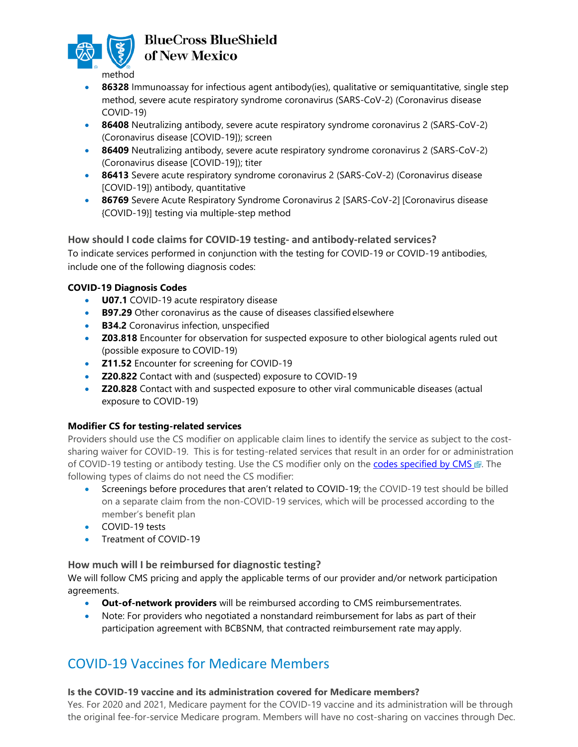

### **BlueCross BlueShield** of New Mexico

- **86328** Immunoassay for infectious agent antibody(ies), qualitative or semiquantitative, single step method, severe acute respiratory syndrome coronavirus (SARS-CoV-2) (Coronavirus disease COVID-19)
- 86408 Neutralizing antibody, severe acute respiratory syndrome coronavirus 2 (SARS-CoV-2) (Coronavirus disease [COVID-19]); screen
- 86409 Neutralizing antibody, severe acute respiratory syndrome coronavirus 2 (SARS-CoV-2) (Coronavirus disease [COVID-19]); titer
- **86413** Severe acute respiratory syndrome coronavirus 2 (SARS-CoV-2) (Coronavirus disease [COVID-19]) antibody, quantitative
- **86769** Severe Acute Respiratory Syndrome Coronavirus 2 [SARS-CoV-2] [Coronavirus disease {COVID-19}] testing via multiple-step method

#### **How should I code claims for COVID-19 testing- and antibody-related services?**

To indicate services performed in conjunction with the testing for COVID-19 or COVID-19 antibodies, include one of the following diagnosis codes:

#### **COVID-19 Diagnosis Codes**

- **U07.1** COVID-19 acute respiratory disease
- **B97.29** Other coronavirus as the cause of diseases classifiedelsewhere
- **B34.2** Coronavirus infection, unspecified
- **Z03.818** Encounter for observation for suspected exposure to other biological agents ruled out (possible exposure to COVID-19)
- **Z11.52** Encounter for screening for COVID-19
- **Z20.822** Contact with and (suspected) exposure to COVID-19
- **Z20.828** Contact with and suspected exposure to other viral communicable diseases (actual exposure to COVID-19)

#### **Modifier CS for testing-related services**

Providers should use the CS modifier on applicable claim lines to identify the service as subject to the costsharing waiver for COVID-19. This is for testing-related services that result in an order for or administration of COVID-19 testing or antibody testing. Use the CS modifier only on the [codes specified by CMS](https://www.cms.gov/outreach-and-educationoutreachffsprovpartprogprovider-partnership-email-archive/2020-08-27-mlnc#_Toc49329805) . The following types of claims do not need the CS modifier:

- Screenings before procedures that aren't related to COVID-19; the COVID-19 test should be billed on a separate claim from the non-COVID-19 services, which will be processed according to the member's benefit plan
- COVID-19 tests
- Treatment of COVID-19

#### **How much will I be reimbursed for diagnostic testing?**

We will follow CMS pricing and apply the applicable terms of our provider and/or network participation agreements.

- **Out-of-network providers** will be reimbursed according to CMS reimbursementrates.
- Note: For providers who negotiated a nonstandard reimbursement for labs as part of their participation agreement with BCBSNM, that contracted reimbursement rate may apply.

### <span id="page-3-0"></span>COVID-19 Vaccines for Medicare Members

#### **Is the COVID-19 vaccine and its administration covered for Medicare members?**

Yes. For 2020 and 2021, Medicare payment for the COVID-19 vaccine and its administration will be through the original fee-for-service Medicare program. Members will have no cost-sharing on vaccines through Dec.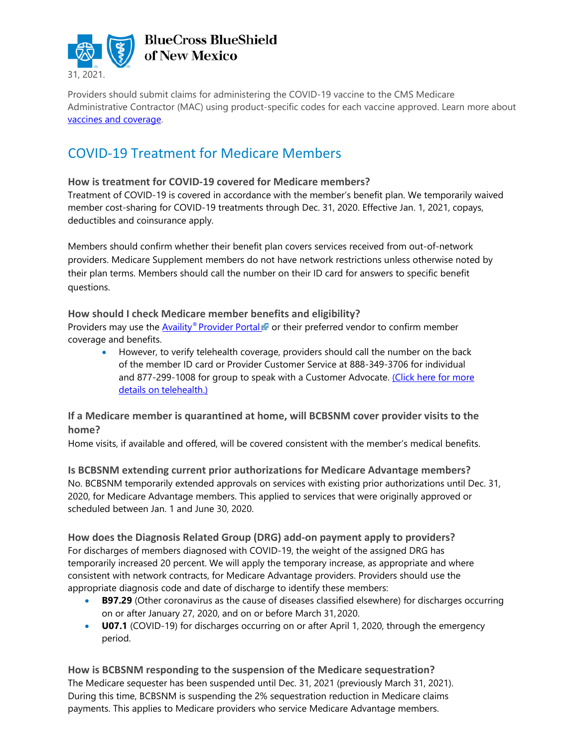

Providers should submit claims for administering the COVID-19 vaccine to the CMS Medicare Administrative Contractor (MAC) using product-specific codes for each vaccine approved. Learn more about [vaccines and coverage.](https://www.bcbsnm.com/provider/news/2020_12_22.html)

### COVID-19 Treatment for Medicare Members

#### **How is treatment for COVID-19 covered for Medicare members?**

Treatment of COVID-19 is covered in accordance with the member's benefit plan. We temporarily waived member cost-sharing for COVID-19 treatments through Dec. 31, 2020. Effective Jan. 1, 2021, copays, deductibles and coinsurance apply.

Members should confirm whether their benefit plan covers services received from out-of-network providers. Medicare Supplement members do not have network restrictions unless otherwise noted by their plan terms. Members should call the number on their ID card for answers to specific benefit questions.

#### **How should I check Medicare member benefits and eligibility?**

Providers may use the [Availity®](https://www.availity.com/) Provider Portal © or their preferred vendor to confirm member coverage and benefits.

• However, to verify telehealth coverage, providers should call the number on the back of the member ID card or Provider Customer Service at 888-349-3706 for individual and 877-299-1008 for group to speak with a Customer Advocate. [\(Click here for more](#page-5-0) details on [telehealth.\)](#page-5-0)

#### **If a Medicare member is quarantined at home, will BCBSNM cover provider visits to the home?**

Home visits, if available and offered, will be covered consistent with the member's medical benefits.

#### **Is BCBSNM extending current prior authorizations for Medicare Advantage members?**

No. BCBSNM temporarily extended approvals on services with existing prior authorizations until Dec. 31, 2020, for Medicare Advantage members. This applied to services that were originally approved or scheduled between Jan. 1 and June 30, 2020.

**How does the Diagnosis Related Group (DRG) add-on payment apply to providers?** For discharges of members diagnosed with COVID-19, the weight of the assigned DRG has temporarily increased 20 percent. We will apply the temporary increase, as appropriate and where consistent with network contracts, for Medicare Advantage providers. Providers should use the appropriate diagnosis code and date of discharge to identify these members:

- **B97.29** (Other coronavirus as the cause of diseases classified elsewhere) for discharges occurring on or after January 27, 2020, and on or before March 31,2020.
- **U07.1** (COVID-19) for discharges occurring on or after April 1, 2020, through the emergency period.

**How is BCBSNM responding to the suspension of the Medicare sequestration?** The Medicare sequester has been suspended until Dec. 31, 2021 (previously March 31, 2021). During this time, BCBSNM is suspending the 2% sequestration reduction in Medicare claims payments. This applies to Medicare providers who service Medicare Advantage members.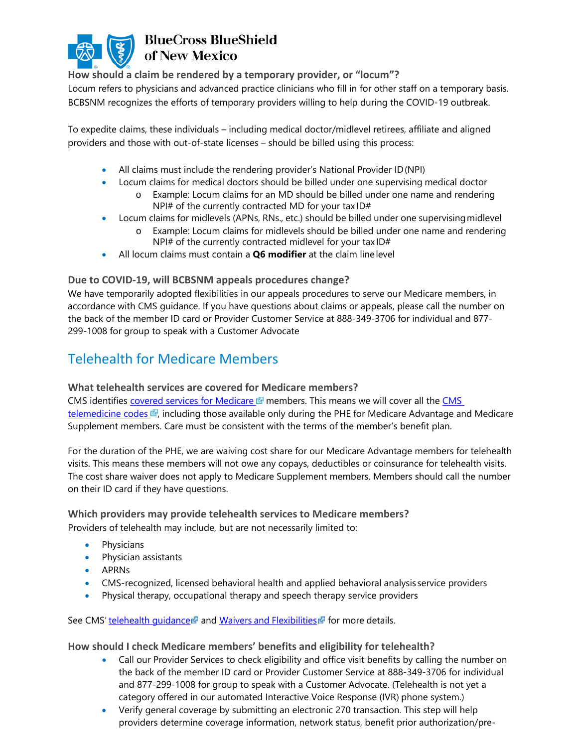

**How should a claim be rendered by a temporary provider, or "locum"?**

Locum refers to physicians and advanced practice clinicians who fill in for other staff on a temporary basis. BCBSNM recognizes the efforts of temporary providers willing to help during the COVID-19 outbreak.

To expedite claims, these individuals – including medical doctor/midlevel retirees, affiliate and aligned providers and those with out-of-state licenses – should be billed using this process:

- All claims must include the rendering provider's National Provider ID(NPI)
- Locum claims for medical doctors should be billed under one supervising medical doctor
	- o Example: Locum claims for an MD should be billed under one name and rendering NPI# of the currently contracted MD for your tax ID#
- Locum claims for midlevels (APNs, RNs., etc.) should be billed under one supervising midlevel
	- o Example: Locum claims for midlevels should be billed under one name and rendering NPI# of the currently contracted midlevel for your tax ID#
- All locum claims must contain a **Q6 modifier** at the claim linelevel

#### **Due to COVID-19, will BCBSNM appeals procedures change?**

We have temporarily adopted flexibilities in our appeals procedures to serve our Medicare members, in accordance with CMS guidance. If you have questions about claims or appeals, please call the number on the back of the member ID card or Provider Customer Service at 888-349-3706 for individual and 877- 299-1008 for group to speak with a Customer Advocate

### <span id="page-5-0"></span>Telehealth for Medicare Members

#### **What telehealth services are covered for Medicare members?**

CMS identifies [covered services for Medicare](https://www.cms.gov/Medicare/Medicare-General-Information/Telehealth/Telehealth-Codes)  $\mathbb{F}$  members. This means we will cover all the CMS [telemedicine codes](https://www.cms.gov/files/zip/covid-19-telehealth-services-phe.zip)  $\vec{v}$ , including those available only during the PHE for Medicare Advantage and Medicare Supplement members. Care must be consistent with the terms of the member's benefit plan.

For the duration of the PHE, we are waiving cost share for our Medicare Advantage members for telehealth visits. This means these members will not owe any copays, deductibles or coinsurance for telehealth visits. The cost share waiver does not apply to Medicare Supplement members. Members should call the number on their ID card if they have questions.

## **Which providers may provide telehealth services to Medicare members?**

Providers of telehealth may include, but are not necessarily limited to:

- Physicians
- Physician assistants
- APRNs
- CMS-recognized, licensed behavioral health and applied behavioral analysis service providers
- Physical therapy, occupational therapy and speech therapy service providers

See CMS' [telehealth](https://www.cms.gov/About-CMS/Agency-Information/Emergency/EPRO/Current-Emergencies/Current-Emergencies-page) quidance and Waivers and [Flexibilities](https://www.cms.gov/about-cms/emergency-preparedness-response-operations/current-emergencies/coronavirus-waivers) for more details.

#### **How should I check Medicare members' benefits and eligibility for telehealth?**

- Call our Provider Services to check eligibility and office visit benefits by calling the number on the back of the member ID card or Provider Customer Service at 888-349-3706 for individual and 877-299-1008 for group to speak with a Customer Advocate. (Telehealth is not yet a category offered in our automated Interactive Voice Response (IVR) phone system.)
- Verify general coverage by submitting an electronic 270 transaction. This step will help providers determine coverage information, network status, benefit prior authorization/pre-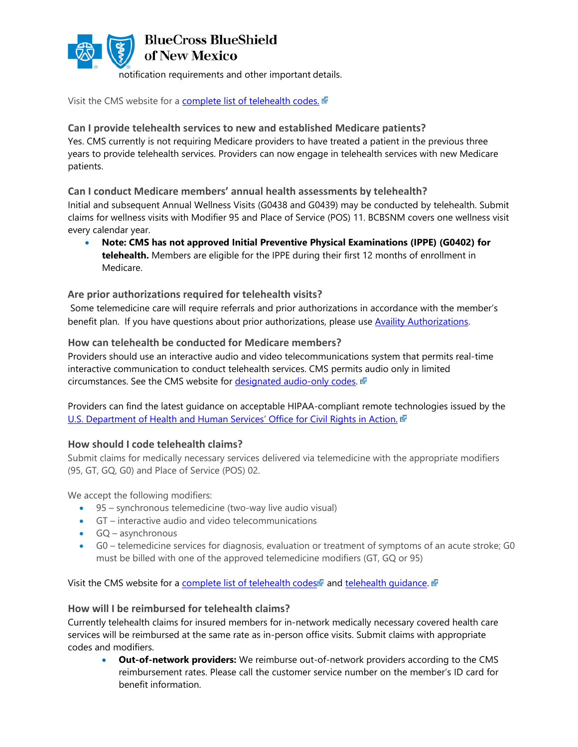

Visit the CMS website for a [complete list of telehealth codes.](https://www.cms.gov/Medicare/Medicare-General-Information/Telehealth/Telehealth-Codes)

#### **Can I provide telehealth services to new and established Medicare patients?**

Yes. CMS currently is not requiring Medicare providers to have treated a patient in the previous three years to provide telehealth services. Providers can now engage in telehealth services with new Medicare patients.

#### **Can I conduct Medicare members' annual health assessments by telehealth?**

Initial and subsequent Annual Wellness Visits (G0438 and G0439) may be conducted by telehealth. Submit claims for wellness visits with Modifier 95 and Place of Service (POS) 11. BCBSNM covers one wellness visit every calendar year.

• **Note: CMS has not approved Initial Preventive Physical Examinations (IPPE) (G0402) for telehealth.** Members are eligible for the IPPE during their first 12 months of enrollment in Medicare.

#### **Are prior authorizations required for telehealth visits?**

Some telemedicine care will require referrals and prior authorizations in accordance with the member's benefit plan. If you have questions about prior authorizations, please use [Availity Authorizations.](https://www.bcbsnm.com/provider/tools/availity_authorizations.html)

#### **How can telehealth be conducted for Medicare members?**

Providers should use an interactive audio and video telecommunications system that permits real-time interactive communication to conduct telehealth services. CMS permits audio only in limited circumstances. See the CMS website for [designated audio-only codes.](https://www.cms.gov/Medicare/Medicare-General-Information/Telehealth/Telehealth-Codes)

Providers can find the latest guidance on acceptable HIPAA-compliant remote technologies issued by the [U.S. Department of Health and Human Services' Office for Civil Rights in Action.](https://www.hhs.gov/ocr/index.html)

#### **How should I code telehealth claims?**

Submit claims for medically necessary services delivered via telemedicine with the appropriate modifiers (95, GT, GQ, G0) and Place of Service (POS) 02.

We accept the following modifiers:

- 95 synchronous telemedicine (two-way live audio visual)
- GT interactive audio and video telecommunications
- GQ asynchronous
- G0 telemedicine services for diagnosis, evaluation or treatment of symptoms of an acute stroke; G0 must be billed with one of the approved telemedicine modifiers (GT, GQ or 95)

Visit the CMS website for a [complete list](https://www.cms.gov/Medicare/Medicare-General-Information/Telehealth/Telehealth-Codes) of [telehealth](https://www.cms.gov/About-CMS/Agency-Information/Emergency/EPRO/Current-Emergencies/Current-Emergencies-page) codes and telehealth quidance.

#### **How will I be reimbursed for telehealth claims?**

Currently telehealth claims for insured members for in-network medically necessary covered health care services will be reimbursed at the same rate as in-person office visits. Submit claims with appropriate codes and modifiers.

<span id="page-6-0"></span>• **Out-of-network providers:** We reimburse out-of-network providers according to the CMS reimbursement rates. Please call the customer service number on the member's ID card for benefit information.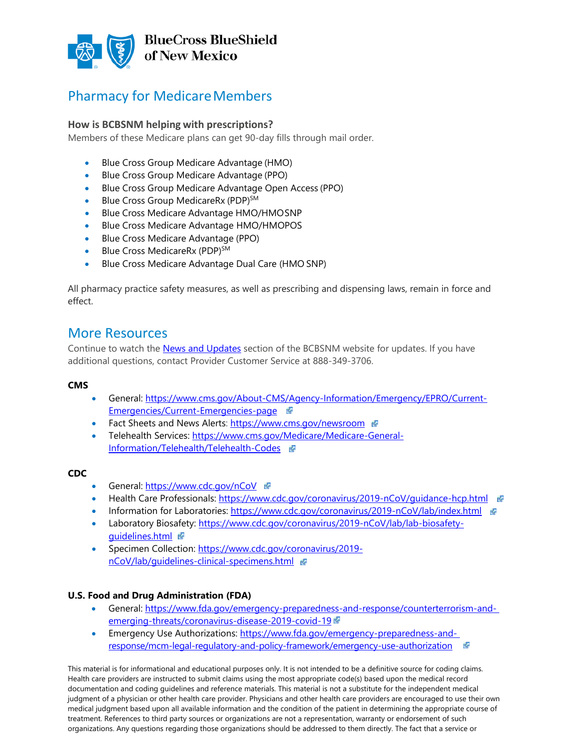

### Pharmacy for Medicare Members

#### **How is BCBSNM helping with prescriptions?**

Members of these Medicare plans can get 90-day fills through mail order.

- Blue Cross Group Medicare Advantage (HMO)
- Blue Cross Group Medicare Advantage (PPO)
- Blue Cross Group Medicare Advantage Open Access (PPO)
- Blue Cross Group MedicareRx (PDP)<sup>SM</sup>
- Blue Cross Medicare Advantage HMO/HMOSNP
- Blue Cross Medicare Advantage HMO/HMOPOS
- Blue Cross Medicare Advantage (PPO)
- Blue Cross [MedicareRx](https://www.bcbsnm.com/medicare/tools-resources/forms-documents/pdp-plan-documents) (PDP)<sup>SM</sup>
- Blue Cross [Medicare Advantage Dual Care \(HMO](https://www.bcbsnm.com/medicare/tools-resources/forms-documents/snp-plan-documents) SNP)

All pharmacy practice safety measures, as well as prescribing and dispensing laws, remain in force and effect.

#### More Resources

Continue to watch the [News and Updates](https://www.bcbsnm.com/provider/news/index.html) section of the BCBSNM website for updates. If you have additional questions, contact Provider Customer Service at 888-349-3706.

#### **CMS**

- General: [https://www.cms.gov/About-CMS/Agency-Information/Emergency/EPRO/Current-](https://www.cms.gov/About-CMS/Agency-Information/Emergency/EPRO/Current-Emergencies/Current-Emergencies-page)[Emergencies/Current-Emergencies-page](https://www.cms.gov/About-CMS/Agency-Information/Emergency/EPRO/Current-Emergencies/Current-Emergencies-page)
- Fact Sheets and News Alerts:<https://www.cms.gov/newsroom>
- Telehealth Services[: https://www.cms.gov/Medicare/Medicare-General-](https://www.cms.gov/Medicare/Medicare-General-Information/Telehealth/Telehealth-Codes)[Information/Telehealth/Telehealth-Codes](https://www.cms.gov/Medicare/Medicare-General-Information/Telehealth/Telehealth-Codes)

#### **CDC**

- General: <https://www.cdc.gov/nCoV>
- Health Care Professionals: <https://www.cdc.gov/coronavirus/2019-nCoV/guidance-hcp.html>
- Information for Laboratories: <https://www.cdc.gov/coronavirus/2019-nCoV/lab/index.html>
- Laboratory Biosafety: [https://www.cdc.gov/coronavirus/2019-nCoV/lab/lab-biosafety](https://www.cdc.gov/coronavirus/2019-nCoV/lab/lab-biosafety-guidelines.html)[guidelines.html](https://www.cdc.gov/coronavirus/2019-nCoV/lab/lab-biosafety-guidelines.html)
- Specimen Collection: [https://www.cdc.gov/coronavirus/2019](https://www.cdc.gov/coronavirus/2019-nCoV/lab/guidelines-clinical-specimens.html) [nCoV/lab/guidelines-clinical-specimens.html](https://www.cdc.gov/coronavirus/2019-nCoV/lab/guidelines-clinical-specimens.html)

#### **U.S. Food and Drug Administration (FDA)**

- General: [https://www.fda.gov/emergency-preparedness-and-response/counterterrorism-and](https://www.fda.gov/emergency-preparedness-and-response/counterterrorism-and-emerging-threats/coronavirus-disease-2019-covid-19)[emerging-threats/coronavirus-disease-2019-covid-19](https://www.fda.gov/emergency-preparedness-and-response/counterterrorism-and-emerging-threats/coronavirus-disease-2019-covid-19)
- Emergency Use Authorizations: [https://www.fda.gov/emergency-preparedness-and](https://www.fda.gov/emergency-preparedness-and-response/mcm-legal-regulatory-and-policy-framework/emergency-use-authorization)[response/mcm-legal-regulatory-and-policy-framework/emergency-use-authorization](https://www.fda.gov/emergency-preparedness-and-response/mcm-legal-regulatory-and-policy-framework/emergency-use-authorization)

This material is for informational and educational purposes only. It is not intended to be a definitive source for coding claims. Health care providers are instructed to submit claims using the most appropriate code(s) based upon the medical record documentation and coding guidelines and reference materials. This material is not a substitute for the independent medical judgment of a physician or other health care provider. Physicians and other health care providers are encouraged to use their own medical judgment based upon all available information and the condition of the patient in determining the appropriate course of treatment. References to third party sources or organizations are not a representation, warranty or endorsement of such organizations. Any questions regarding those organizations should be addressed to them directly. The fact that a service or